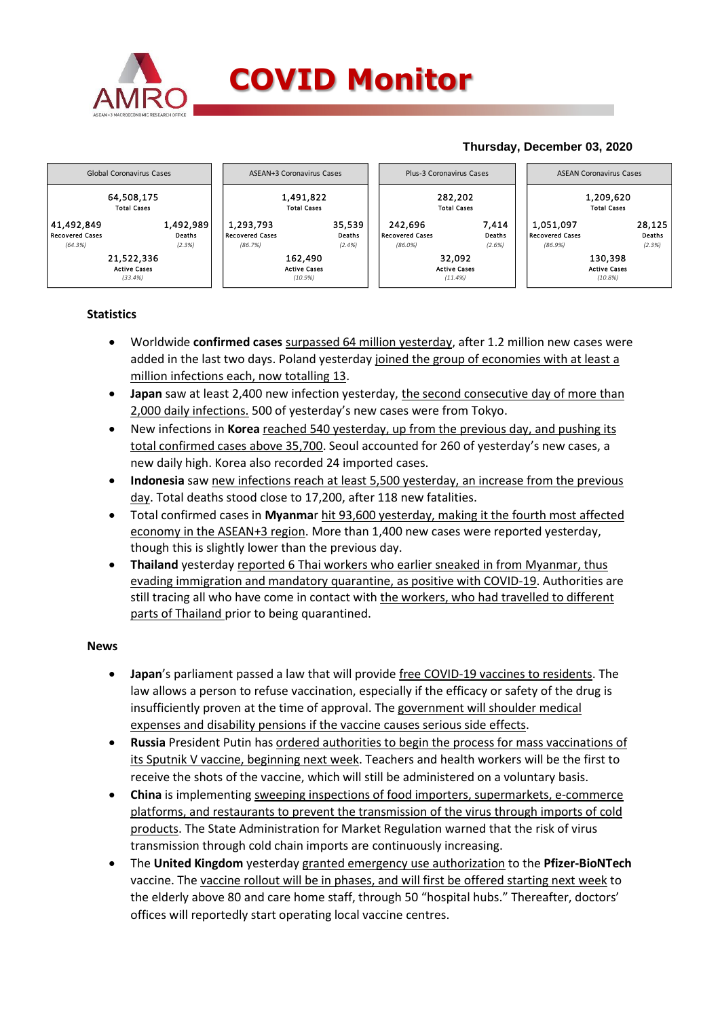

## **COVID Monitor**

### **Thursday, December 03, 2020**



#### **Statistics**

- Worldwide **confirmed cases** surpassed 64 million yesterday, after 1.2 million new cases were added in the last two days. Poland yesterday joined the group of economies with at least a million infections each, now totalling 13.
- **Japan** saw at least 2,400 new infection yesterday, the second consecutive day of more than 2,000 daily infections. 500 of yesterday's new cases were from Tokyo.
- New infections in **Korea** reached 540 yesterday, up from the previous day, and pushing its total confirmed cases above 35,700. Seoul accounted for 260 of yesterday's new cases, a new daily high. Korea also recorded 24 imported cases.
- **Indonesia** saw new infections reach at least 5,500 yesterday, an increase from the previous day. Total deaths stood close to 17,200, after 118 new fatalities.
- Total confirmed cases in **Myanma**r hit 93,600 yesterday, making it the fourth most affected economy in the ASEAN+3 region. More than 1,400 new cases were reported yesterday, though this is slightly lower than the previous day.
- **Thailand** yesterday reported 6 Thai workers who earlier sneaked in from Myanmar, thus evading immigration and mandatory quarantine, as positive with COVID-19. Authorities are still tracing all who have come in contact with the workers, who had travelled to different parts of Thailand prior to being quarantined.

#### **News**

- **Japan**'s parliament passed a law that will provide free COVID-19 vaccines to residents. The law allows a person to refuse vaccination, especially if the efficacy or safety of the drug is insufficiently proven at the time of approval. The government will shoulder medical expenses and disability pensions if the vaccine causes serious side effects.
- **Russia** President Putin has **ordered authorities to begin the process for mass vaccinations of** its Sputnik V vaccine, beginning next week. Teachers and health workers will be the first to receive the shots of the vaccine, which will still be administered on a voluntary basis.
- **China** is implementing sweeping inspections of food importers, supermarkets, e-commerce platforms, and restaurants to prevent the transmission of the virus through imports of cold products. The State Administration for Market Regulation warned that the risk of virus transmission through cold chain imports are continuously increasing.
- The **United Kingdom** yesterday granted emergency use authorization to the **Pfizer-BioNTech** vaccine. The vaccine rollout will be in phases, and will first be offered starting next week to the elderly above 80 and care home staff, through 50 "hospital hubs." Thereafter, doctors' offices will reportedly start operating local vaccine centres.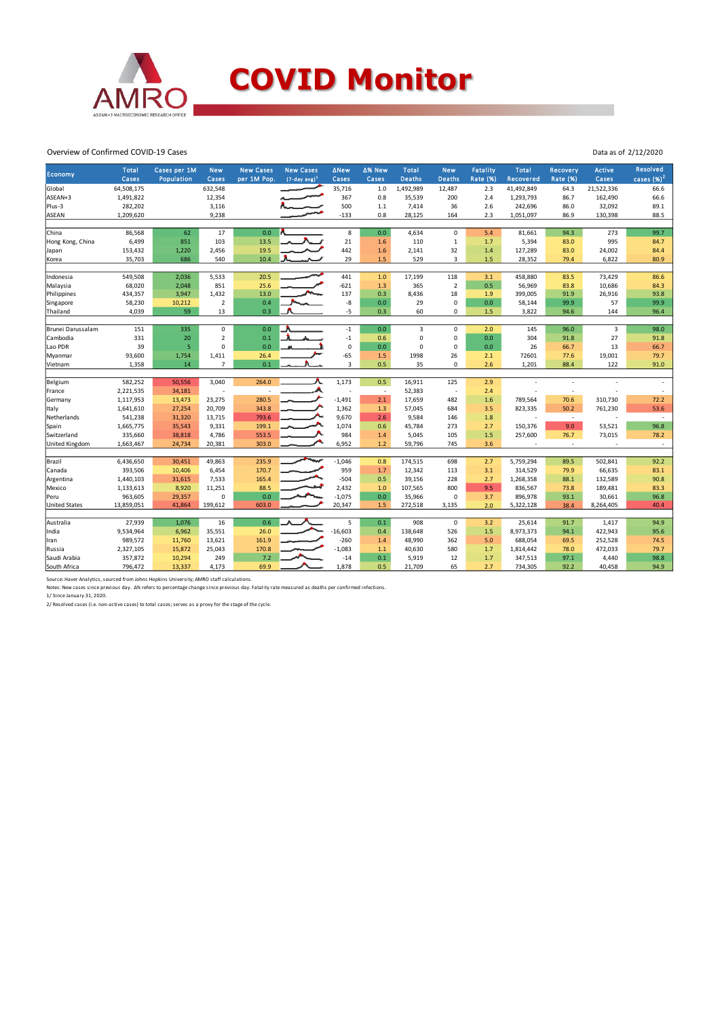

#### Overview of Confirmed COVID-19 Cases

| Economy              | <b>Total</b><br>Cases | Cases per 1M<br>Population | <b>New</b><br>Cases  | <b>New Cases</b><br>per 1M Pop. | <b>New Cases</b><br>$(7-day avg)^1$ | ∆New<br>Cases  | ∆% New<br>Cases          | Total<br><b>Deaths</b> | <b>New</b><br><b>Deaths</b> | Fatality<br><b>Rate (%)</b> | <b>Total</b><br><b>Recovered</b> | Recovery<br><b>Rate (%)</b> | <b>Active</b><br>Cases   | <b>Resolved</b><br>cases $(\%)^2$ |
|----------------------|-----------------------|----------------------------|----------------------|---------------------------------|-------------------------------------|----------------|--------------------------|------------------------|-----------------------------|-----------------------------|----------------------------------|-----------------------------|--------------------------|-----------------------------------|
| Global               | 64,508,175            |                            | 632,548              |                                 |                                     | 35,716         | 1.0                      | 1,492,989              | 12,487                      | 2.3                         | 41,492,849                       | 64.3                        | 21,522,336               | 66.6                              |
| ASEAN+3              | 1,491,822             |                            | 12,354               |                                 |                                     | 367            | 0.8                      | 35,539                 | 200                         | 2.4                         | 1,293,793                        | 86.7                        | 162,490                  | 66.6                              |
| Plus-3               | 282,202               |                            | 3,116                |                                 |                                     | 500            | $1.1\,$                  | 7,414                  | 36                          | 2.6                         | 242,696                          | 86.0                        | 32,092                   | 89.1                              |
| <b>ASEAN</b>         | 1,209,620             |                            | 9,238                |                                 |                                     | $-133$         | 0.8                      | 28,125                 | 164                         | 2.3                         | 1,051,097                        | 86.9                        | 130,398                  | 88.5                              |
|                      |                       |                            |                      |                                 |                                     |                |                          |                        |                             |                             |                                  |                             |                          |                                   |
| China                | 86,568                | 62                         | 17                   | 0.0                             |                                     | 8              | 0.0                      | 4,634                  | $\mathbf 0$                 | 5.4                         | 81,661                           | 94.3                        | 273                      | 99.7                              |
| Hong Kong, China     | 6,499                 | 851                        | 103                  | 13.5                            |                                     | 21             | 1.6                      | 110                    | $\mathbf{1}$                | 1.7                         | 5,394                            | 83.0                        | 995                      | 84.7                              |
| Japan                | 153,432               | 1,220                      | 2,456                | 19.5                            |                                     | 442            | 1.6                      | 2,141                  | 32                          | 1.4                         | 127,289                          | 83.0                        | 24,002                   | 84.4                              |
| Korea                | 35,703                | 686                        | 540                  | 10.4                            |                                     | 29             | $1.5$                    | 529                    | 3                           | 1.5                         | 28,352                           | 79.4                        | 6,822                    | 80.9                              |
|                      |                       |                            |                      | 20.5                            |                                     |                |                          |                        |                             | 3.1                         |                                  |                             |                          |                                   |
| Indonesia            | 549,508               | 2,036                      | 5,533                |                                 |                                     | 441            | 1.0                      | 17,199                 | 118                         |                             | 458,880                          | 83.5                        | 73,429                   | 86.6                              |
| Malaysia             | 68,020                | 2,048                      | 851                  | 25.6                            |                                     | $-621$<br>137  | 1.3                      | 365                    | $\overline{2}$<br>18        | 0.5                         | 56,969                           | 83.8                        | 10,686                   | 84.3<br>93.8                      |
| Philippines          | 434,357               | 3,947                      | 1,432                | 13.0                            |                                     |                | 0.3                      | 8,436                  |                             | 1.9<br>0.0                  | 399,005                          | 91.9                        | 26,916                   |                                   |
| Singapore            | 58,230                | 10,212<br>59               | $\overline{2}$<br>13 | 0.4<br>0.3                      |                                     | -8<br>$-5$     | 0.0                      | 29<br>60               | 0<br>$\mathbf 0$            |                             | 58,144                           | 99.9                        | 57                       | 99.9<br>96.4                      |
| Thailand             | 4,039                 |                            |                      |                                 |                                     |                | 0.3                      |                        |                             | 1.5                         | 3,822                            | 94.6                        | 144                      |                                   |
| Brunei Darussalam    | 151                   | 335                        | $\mathbf 0$          | 0.0                             |                                     | $^{\rm -1}$    | 0.0                      | 3                      | $\mathbf 0$                 | 2.0                         | 145                              | 96.0                        | 3                        | 98.0                              |
| Cambodia             | 331                   | 20                         | $\overline{2}$       | 0.1                             |                                     | $^{\rm -1}$    | 0.6                      | 0                      | $\mathbf 0$                 | 0.0                         | 304                              | 91.8                        | 27                       | 91.8                              |
| Lao PDR              | 39                    | 5                          | $\mathbf 0$          | 0.0                             |                                     | $\mathsf 0$    | 0.0                      | 0                      | $\mathbf 0$                 | 0.0                         | 26                               | 66.7                        | 13                       | 66.7                              |
| Myanmar              | 93,600                | 1,754                      | 1,411                | 26.4                            |                                     | $-65$          | 1.5                      | 1998                   | 26                          | 2.1                         | 72601                            | 77.6                        | 19,001                   | 79.7                              |
| Vietnam              | 1,358                 | 14                         | $\overline{7}$       | 0.1                             |                                     | $\overline{3}$ | 0.5                      | 35                     | $\mathbf 0$                 | 2.6                         | 1,201                            | 88.4                        | 122                      | 91.0                              |
|                      |                       |                            |                      |                                 |                                     |                |                          |                        |                             |                             |                                  |                             |                          |                                   |
| Belgium              | 582,252               | 50,556                     | 3,040                | 264.0                           |                                     | 1,173          | 0.5                      | 16,911                 | 125                         | 2.9                         |                                  |                             |                          |                                   |
| France               | 2,221,535             | 34,181                     | ÷                    |                                 |                                     |                | $\overline{\phantom{a}}$ | 52,383                 | $\overline{\phantom{a}}$    | 2.4                         |                                  | $\overline{\phantom{a}}$    |                          | $\overline{\phantom{a}}$          |
| Germany              | 1,117,953             | 13,473                     | 23,275               | 280.5                           |                                     | $-1,491$       | 2.1                      | 17,659                 | 482                         | 1.6                         | 789,564                          | 70.6                        | 310,730                  | 72.2                              |
| Italy                | 1,641,610             | 27,254                     | 20,709               | 343.8                           |                                     | 1,362          | 1.3                      | 57,045                 | 684                         | 3.5                         | 823,335                          | 50.2                        | 761,230                  | 53.6                              |
| Netherlands          | 541,238               | 31,320                     | 13,715               | 793.6                           |                                     | 9,670          | 2.6                      | 9,584                  | 146                         | 1.8                         |                                  | $\overline{a}$              |                          | $\sim$                            |
| Spain                | 1,665,775             | 35,543                     | 9,331                | 199.1                           |                                     | 1,074          | 0.6                      | 45,784                 | 273                         | 2.7                         | 150,376                          | 9.0                         | 53,521                   | 96.8                              |
| Switzerland          | 335,660               | 38,818                     | 4,786                | 553.5                           |                                     | 984            | 1.4                      | 5,045                  | 105                         | 1.5                         | 257,600                          | 76.7                        | 73,015                   | 78.2                              |
| United Kingdom       | 1,663,467             | 24,734                     | 20,381               | 303.0                           |                                     | 6,952          | 1.2                      | 59,796                 | 745                         | 3.6                         | $\overline{\phantom{a}}$         | $\overline{\phantom{a}}$    | $\overline{\phantom{a}}$ | $\sim$                            |
|                      |                       |                            |                      |                                 |                                     |                |                          |                        |                             |                             |                                  |                             |                          |                                   |
| Brazil               | 6,436,650             | 30,451                     | 49,863               | 235.9                           |                                     | $-1,046$       | 0.8                      | 174,515                | 698                         | 2.7                         | 5,759,294                        | 89.5                        | 502,841                  | 92.2                              |
| Canada               | 393,506               | 10,406                     | 6,454                | 170.7                           |                                     | 959            | 1.7                      | 12,342                 | 113                         | 3.1                         | 314,529                          | 79.9                        | 66,635                   | 83.1                              |
| Argentina            | 1,440,103             | 31,615                     | 7,533                | 165.4                           |                                     | $-504$         | 0.5                      | 39,156                 | 228                         | 2.7                         | 1,268,358                        | 88.1                        | 132,589                  | 90.8                              |
| Mexico               | 1,133,613             | 8,920                      | 11,251               | 88.5                            |                                     | 2,432          | 1.0                      | 107,565                | 800                         | 9.5                         | 836,567                          | 73.8                        | 189,481                  | 83.3                              |
| Peru                 | 963,605               | 29,357                     | $\mathbf 0$          | 0.0                             |                                     | $-1,075$       | 0.0                      | 35,966                 | 0                           | 3.7                         | 896,978                          | 93.1                        | 30,661                   | 96.8                              |
| <b>United States</b> | 13,859,051            | 41,864                     | 199,612              | 603.0                           |                                     | 20,347         | 1.5                      | 272,518                | 3,135                       | 2.0                         | 5,322,128                        | 38.4                        | 8,264,405                | 40.4                              |
| Australia            | 27,939                | 1,076                      | 16                   | 0.6                             |                                     | 5              | 0.1                      | 908                    | $\mathbf 0$                 | 3.2                         | 25,614                           | 91.7                        | 1,417                    | 94.9                              |
| India                | 9,534,964             | 6,962                      | 35,551               | 26.0                            |                                     | $-16,603$      | 0.4                      | 138,648                | 526                         | 1.5                         | 8,973,373                        | 94.1                        | 422,943                  | 95.6                              |
| Iran                 | 989,572               | 11,760                     | 13,621               | 161.9                           |                                     | $-260$         | 1.4                      | 48,990                 | 362                         | 5.0                         | 688,054                          | 69.5                        | 252,528                  | 74.5                              |
| Russia               | 2,327,105             | 15,872                     | 25,043               | 170.8                           |                                     | $-1,083$       | 1.1                      | 40,630                 | 580                         | 1.7                         | 1,814,442                        | 78.0                        | 472,033                  | 79.7                              |
| Saudi Arabia         | 357,872               | 10,294                     | 249                  | 7.2                             |                                     | $-14$          | 0.1                      | 5,919                  | 12                          | 1.7                         | 347,513                          | 97.1                        | 4,440                    | 98.8                              |
| South Africa         | 796,472               | 13,337                     | 4,173                | 69.9                            |                                     | 1,878          | 0.5                      | 21,709                 | 65                          | 2.7                         | 734,305                          | 92.2                        | 40,458                   | 94.9                              |
|                      |                       |                            |                      |                                 |                                     |                |                          |                        |                             |                             |                                  |                             |                          |                                   |

Data as of 2/12/2020

Source: Haver Analytics, sourced from Johns Hopkins University; AMRO staff calculations.<br>Notes: New cases since previous day. Δ% refers to percentage change since previous day. Fatality rate measured as deaths per confirm

2/ Resolved cases (i.e. non-active cases) to total cases; serves as a proxy for the stage of the cycle.